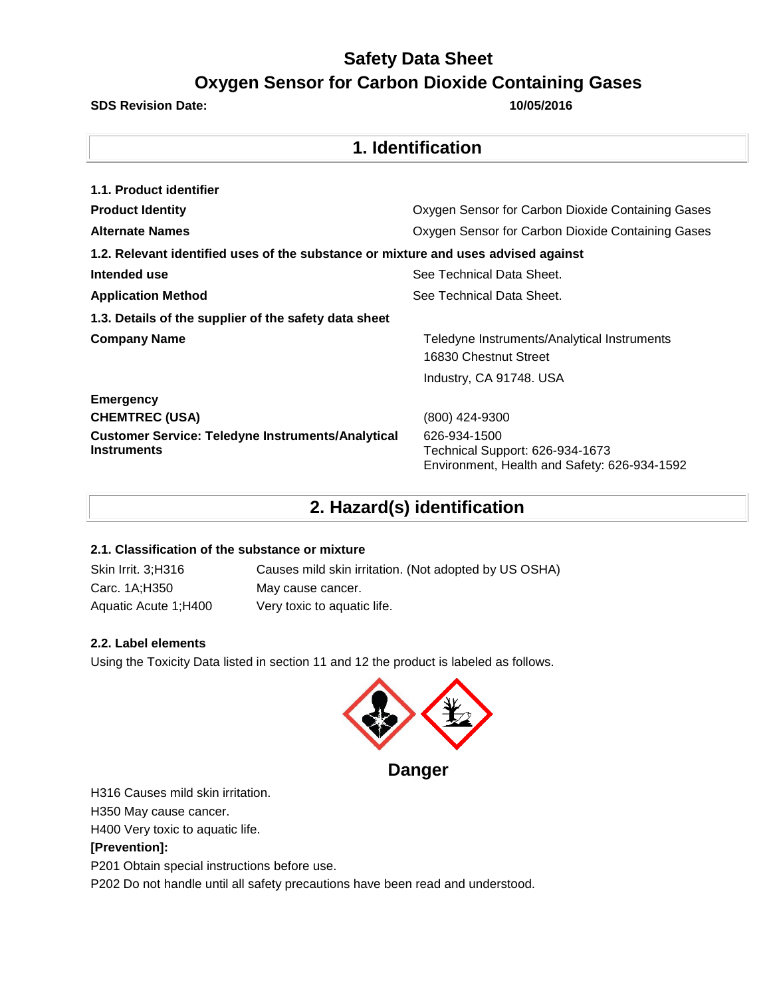**1. Identification** 

#### **SDS Revision Date: 10/05/2016**

| 1. IUCHUIIVAUVII                                                                   |                                                                                                 |  |  |
|------------------------------------------------------------------------------------|-------------------------------------------------------------------------------------------------|--|--|
|                                                                                    |                                                                                                 |  |  |
| 1.1. Product identifier                                                            |                                                                                                 |  |  |
| <b>Product Identity</b>                                                            | Oxygen Sensor for Carbon Dioxide Containing Gases                                               |  |  |
| <b>Alternate Names</b>                                                             | Oxygen Sensor for Carbon Dioxide Containing Gases                                               |  |  |
| 1.2. Relevant identified uses of the substance or mixture and uses advised against |                                                                                                 |  |  |
| Intended use                                                                       | See Technical Data Sheet.                                                                       |  |  |
| <b>Application Method</b>                                                          | See Technical Data Sheet.                                                                       |  |  |
| 1.3. Details of the supplier of the safety data sheet                              |                                                                                                 |  |  |
| <b>Company Name</b>                                                                | Teledyne Instruments/Analytical Instruments                                                     |  |  |
|                                                                                    | 16830 Chestnut Street                                                                           |  |  |
|                                                                                    | Industry, CA 91748. USA                                                                         |  |  |
| <b>Emergency</b>                                                                   |                                                                                                 |  |  |
| <b>CHEMTREC (USA)</b>                                                              | (800) 424-9300                                                                                  |  |  |
| <b>Customer Service: Teledyne Instruments/Analytical</b><br><b>Instruments</b>     | 626-934-1500<br>Technical Support: 626-934-1673<br>Environment, Health and Safety: 626-934-1592 |  |  |

### **2. Hazard(s) identification**

### **2.1. Classification of the substance or mixture**

| Skin Irrit. 3;H316   | Causes mild skin irritation. (Not adopted by US OSHA) |
|----------------------|-------------------------------------------------------|
| Carc. 1A;H350        | May cause cancer.                                     |
| Aquatic Acute 1:H400 | Very toxic to aquatic life.                           |

### **2.2. Label elements**

Using the Toxicity Data listed in section 11 and 12 the product is labeled as follows.



H316 Causes mild skin irritation.

H350 May cause cancer.

H400 Very toxic to aquatic life.

### **[Prevention]:**

P201 Obtain special instructions before use.

P202 Do not handle until all safety precautions have been read and understood.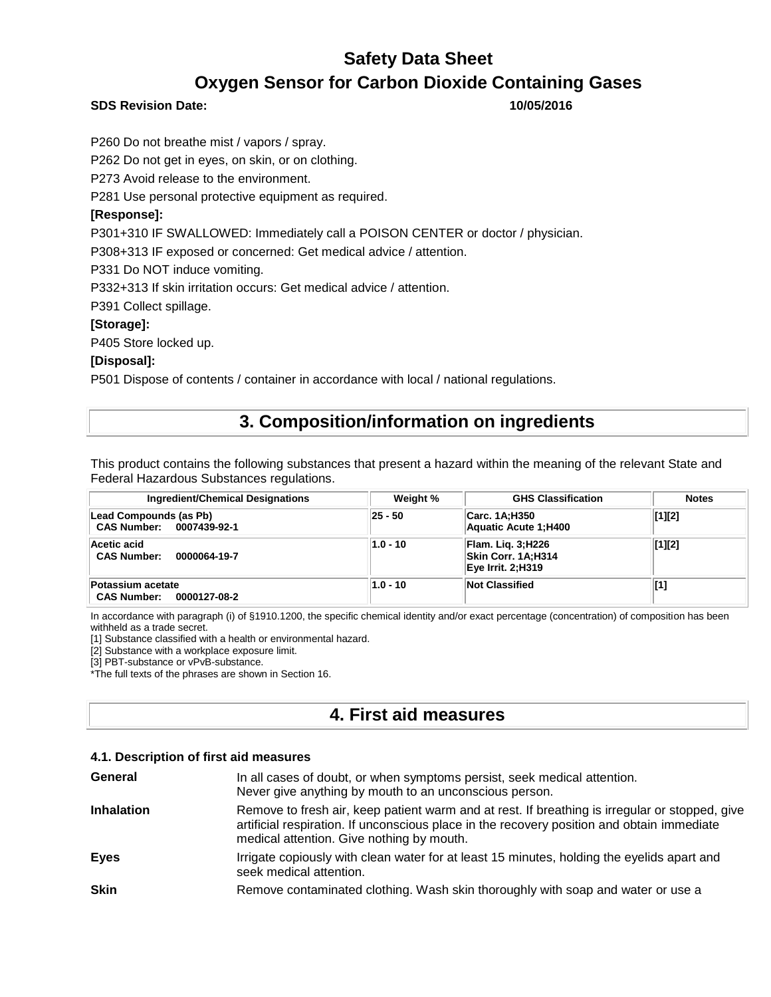### **SDS Revision Date: 10/05/2016**

P260 Do not breathe mist / vapors / spray.

P262 Do not get in eyes, on skin, or on clothing.

P273 Avoid release to the environment.

P281 Use personal protective equipment as required.

### **[Response]:**

P301+310 IF SWALLOWED: Immediately call a POISON CENTER or doctor / physician.

P308+313 IF exposed or concerned: Get medical advice / attention.

P331 Do NOT induce vomiting.

P332+313 If skin irritation occurs: Get medical advice / attention.

P391 Collect spillage.

### **[Storage]:**

P405 Store locked up.

### **[Disposal]:**

P501 Dispose of contents / container in accordance with local / national regulations.

### **3. Composition/information on ingredients**

This product contains the following substances that present a hazard within the meaning of the relevant State and Federal Hazardous Substances regulations.

| <b>Ingredient/Chemical Designations</b>                 | Weight %   | <b>GHS Classification</b>                                            | <b>Notes</b>         |
|---------------------------------------------------------|------------|----------------------------------------------------------------------|----------------------|
| Lead Compounds (as Pb)<br>CAS Number: 0007439-92-1      | 25 - 50    | Carc. 1A;H350<br>Aquatic Acute 1; H400                               | $\vert [1]\vert [2]$ |
| Acetic acid<br><b>CAS Number:</b><br>0000064-19-7       | $1.0 - 10$ | <b>Flam. Lig. 3; H226</b><br>Skin Corr. 1A;H314<br>Eye Irrit. 2;H319 | $\vert [1]\vert [2]$ |
| Potassium acetate<br><b>CAS Number:</b><br>0000127-08-2 | $1.0 - 10$ | Not Classified                                                       | [1]                  |

In accordance with paragraph (i) of §1910.1200, the specific chemical identity and/or exact percentage (concentration) of composition has been withheld as a trade secret.

[1] Substance classified with a health or environmental hazard.

[2] Substance with a workplace exposure limit.

[3] PBT-substance or vPvB-substance.

\*The full texts of the phrases are shown in Section 16.

### **4. First aid measures**

#### **4.1. Description of first aid measures**

| General           | In all cases of doubt, or when symptoms persist, seek medical attention.<br>Never give anything by mouth to an unconscious person.                                                                                                        |
|-------------------|-------------------------------------------------------------------------------------------------------------------------------------------------------------------------------------------------------------------------------------------|
| <b>Inhalation</b> | Remove to fresh air, keep patient warm and at rest. If breathing is irregular or stopped, give<br>artificial respiration. If unconscious place in the recovery position and obtain immediate<br>medical attention. Give nothing by mouth. |
| <b>Eyes</b>       | Irrigate copiously with clean water for at least 15 minutes, holding the eyelids apart and<br>seek medical attention.                                                                                                                     |
| <b>Skin</b>       | Remove contaminated clothing. Wash skin thoroughly with soap and water or use a                                                                                                                                                           |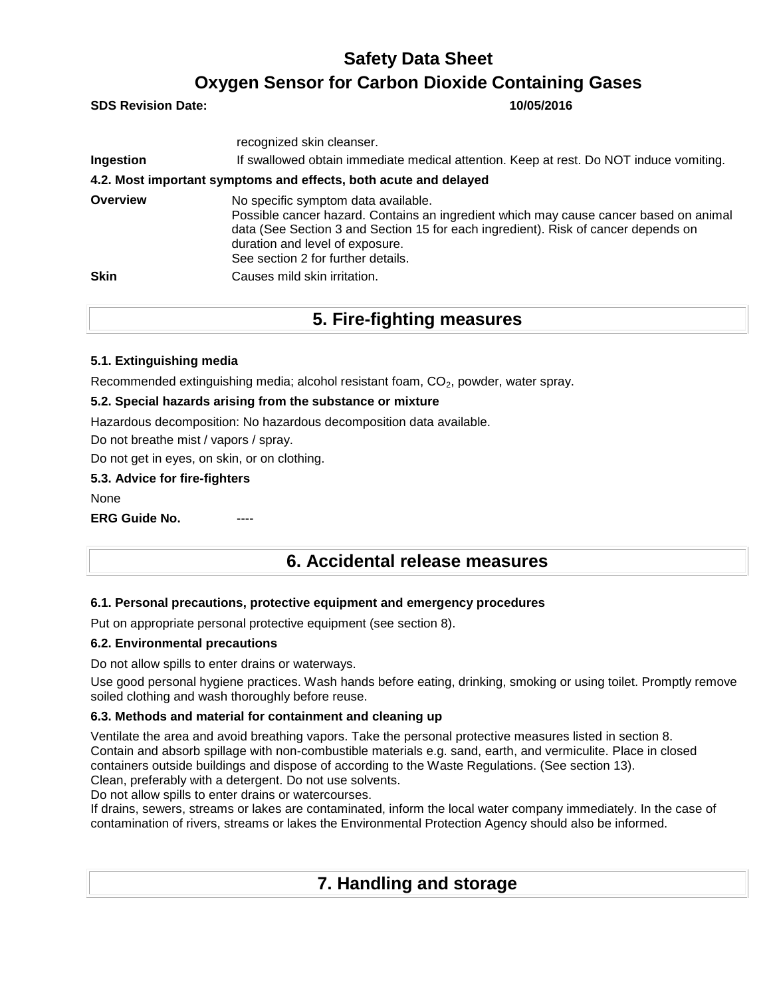**SDS Revision Date: 10/05/2016**

|                 | recognized skin cleanser.                                                                                                                                                                                                                                                                   |
|-----------------|---------------------------------------------------------------------------------------------------------------------------------------------------------------------------------------------------------------------------------------------------------------------------------------------|
| Ingestion       | If swallowed obtain immediate medical attention. Keep at rest. Do NOT induce vomiting.                                                                                                                                                                                                      |
|                 | 4.2. Most important symptoms and effects, both acute and delayed                                                                                                                                                                                                                            |
| <b>Overview</b> | No specific symptom data available.<br>Possible cancer hazard. Contains an ingredient which may cause cancer based on animal<br>data (See Section 3 and Section 15 for each ingredient). Risk of cancer depends on<br>duration and level of exposure.<br>See section 2 for further details. |
| <b>Skin</b>     | Causes mild skin irritation.                                                                                                                                                                                                                                                                |

### **5. Fire-fighting measures**

### **5.1. Extinguishing media**

Recommended extinguishing media; alcohol resistant foam, CO<sub>2</sub>, powder, water spray.

### **5.2. Special hazards arising from the substance or mixture**

Hazardous decomposition: No hazardous decomposition data available.

Do not breathe mist / vapors / spray.

Do not get in eyes, on skin, or on clothing.

### **5.3. Advice for fire-fighters**

None

**ERG Guide No.** 

### **6. Accidental release measures**

### **6.1. Personal precautions, protective equipment and emergency procedures**

Put on appropriate personal protective equipment (see section 8).

### **6.2. Environmental precautions**

Do not allow spills to enter drains or waterways.

Use good personal hygiene practices. Wash hands before eating, drinking, smoking or using toilet. Promptly remove soiled clothing and wash thoroughly before reuse.

### **6.3. Methods and material for containment and cleaning up**

Ventilate the area and avoid breathing vapors. Take the personal protective measures listed in section 8. Contain and absorb spillage with non-combustible materials e.g. sand, earth, and vermiculite. Place in closed containers outside buildings and dispose of according to the Waste Regulations. (See section 13). Clean, preferably with a detergent. Do not use solvents.

Do not allow spills to enter drains or watercourses.

If drains, sewers, streams or lakes are contaminated, inform the local water company immediately. In the case of contamination of rivers, streams or lakes the Environmental Protection Agency should also be informed.

### **7. Handling and storage**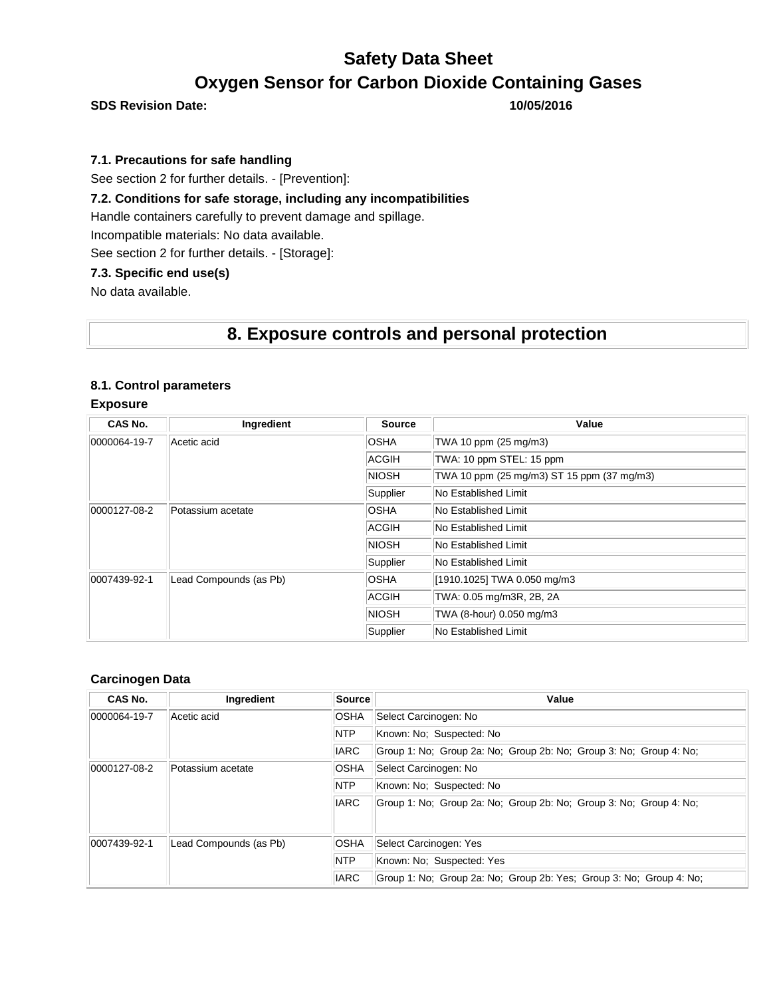**SDS Revision Date: 10/05/2016**

### **7.1. Precautions for safe handling**

See section 2 for further details. - [Prevention]:

### **7.2. Conditions for safe storage, including any incompatibilities**

Handle containers carefully to prevent damage and spillage.

Incompatible materials: No data available.

See section 2 for further details. - [Storage]:

### **7.3. Specific end use(s)**

No data available.

### **8. Exposure controls and personal protection**

#### **8.1. Control parameters**

#### **Exposure**

| CAS No.                           | Ingredient             | <b>Source</b>        | Value                                      |
|-----------------------------------|------------------------|----------------------|--------------------------------------------|
| 0000064-19-7                      | Acetic acid            | <b>OSHA</b>          | TWA 10 ppm (25 mg/m3)                      |
|                                   |                        | ACGIH                | TWA: 10 ppm STEL: 15 ppm                   |
|                                   |                        | <b>NIOSH</b>         | TWA 10 ppm (25 mg/m3) ST 15 ppm (37 mg/m3) |
|                                   |                        | Supplier             | No Established Limit                       |
| 0000127-08-2<br>Potassium acetate | <b>OSHA</b>            | No Established Limit |                                            |
|                                   |                        | ACGIH                | <b>No Established Limit</b>                |
|                                   |                        | <b>NIOSH</b>         | No Established Limit                       |
|                                   | Supplier               | No Established Limit |                                            |
| 0007439-92-1                      | Lead Compounds (as Pb) | <b>OSHA</b>          | [1910.1025] TWA 0.050 mg/m3                |
|                                   |                        | ACGIH                | TWA: 0.05 mg/m3R, 2B, 2A                   |
|                                   |                        | <b>NIOSH</b>         | TWA (8-hour) 0.050 mg/m3                   |
|                                   |                        | Supplier             | No Established Limit                       |

#### **Carcinogen Data**

| CAS No.      | Ingredient             | Source      | Value                                                               |  |  |
|--------------|------------------------|-------------|---------------------------------------------------------------------|--|--|
| 0000064-19-7 | Acetic acid            | <b>OSHA</b> | Select Carcinogen: No                                               |  |  |
|              |                        | <b>NTP</b>  | Known: No: Suspected: No                                            |  |  |
|              |                        | <b>IARC</b> | Group 1: No: Group 2a: No: Group 2b: No: Group 3: No: Group 4: No:  |  |  |
| 0000127-08-2 | Potassium acetate      | <b>OSHA</b> | Select Carcinogen: No                                               |  |  |
|              |                        | <b>NTP</b>  | Known: No: Suspected: No                                            |  |  |
| <b>IARC</b>  |                        |             | Group 1: No; Group 2a: No; Group 2b: No; Group 3: No; Group 4: No;  |  |  |
| 0007439-92-1 | Lead Compounds (as Pb) | <b>OSHA</b> | Select Carcinogen: Yes                                              |  |  |
|              |                        | <b>NTP</b>  | Known: No: Suspected: Yes                                           |  |  |
|              |                        | <b>IARC</b> | Group 1: No: Group 2a: No: Group 2b: Yes: Group 3: No: Group 4: No: |  |  |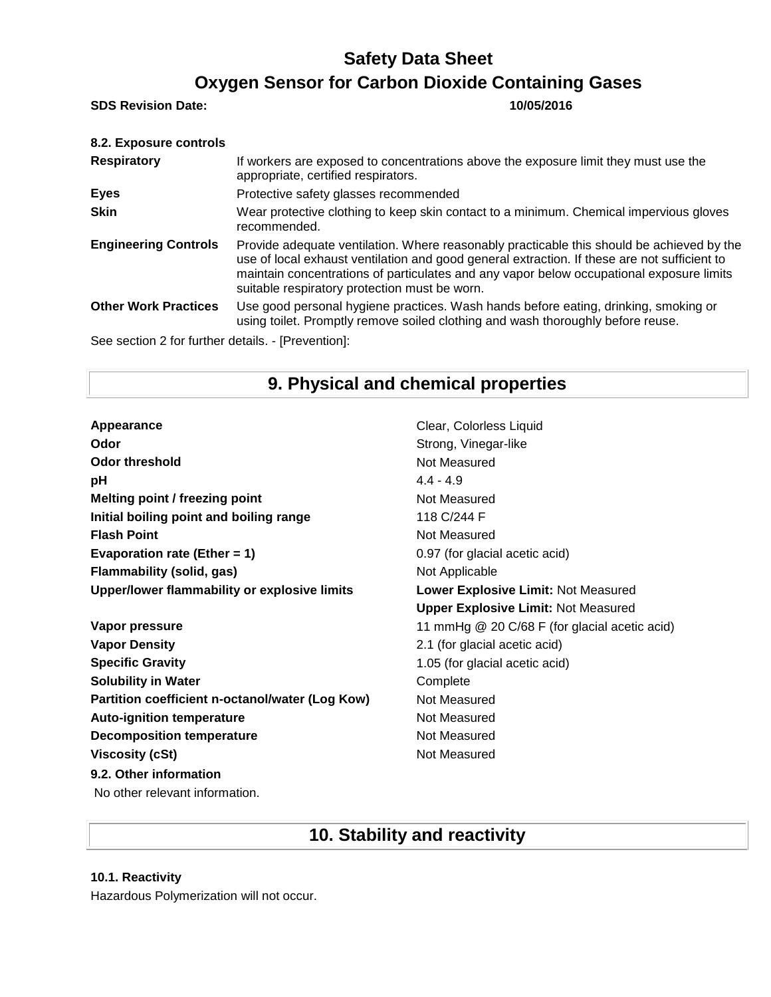**SDS Revision Date: 10/05/2016**

| If workers are exposed to concentrations above the exposure limit they must use the<br>appropriate, certified respirators.                                                                                                                                                                                                             |
|----------------------------------------------------------------------------------------------------------------------------------------------------------------------------------------------------------------------------------------------------------------------------------------------------------------------------------------|
| Protective safety glasses recommended                                                                                                                                                                                                                                                                                                  |
| Wear protective clothing to keep skin contact to a minimum. Chemical impervious gloves<br>recommended.                                                                                                                                                                                                                                 |
| Provide adequate ventilation. Where reasonably practicable this should be achieved by the<br>use of local exhaust ventilation and good general extraction. If these are not sufficient to<br>maintain concentrations of particulates and any vapor below occupational exposure limits<br>suitable respiratory protection must be worn. |
| Use good personal hygiene practices. Wash hands before eating, drinking, smoking or<br>using toilet. Promptly remove soiled clothing and wash thoroughly before reuse.                                                                                                                                                                 |
| See section 2 for further details. - [Prevention]:                                                                                                                                                                                                                                                                                     |
|                                                                                                                                                                                                                                                                                                                                        |

## **9. Physical and chemical properties**

Appearance **Clear, Colorless Liquid Odor** Strong, Vinegar-like **Odor threshold** Not Measured **pH** 4.4 - 4.9 **Melting point / freezing point** Not Measured **Initial boiling point and boiling range** 118 C/244 F **Flash Point** Not Measured **Evaporation rate (Ether = 1)** 0.97 (for glacial acetic acid) **Flammability (solid, gas)** Not Applicable **Upper/lower flammability or explosive limits Lower Explosive Limit:** Not Measured **Upper Explosive Limit:** Not Measured **Vapor pressure** 11 mmHg @ 20 C/68 F (for glacial acetic acid) **Vapor Density** 2.1 (for glacial acetic acid) **Specific Gravity 1.05 (for glacial acetic acid) Solubility in Water** Complete **Partition coefficient n-octanol/water (Log Kow)** Not Measured Auto-ignition temperature **Not Measured** Not Measured **Decomposition temperature** Not Measured **Viscosity (cSt)** Not Measured **9.2. Other information** No other relevant information.

## **10. Stability and reactivity**

**10.1. Reactivity**

Hazardous Polymerization will not occur.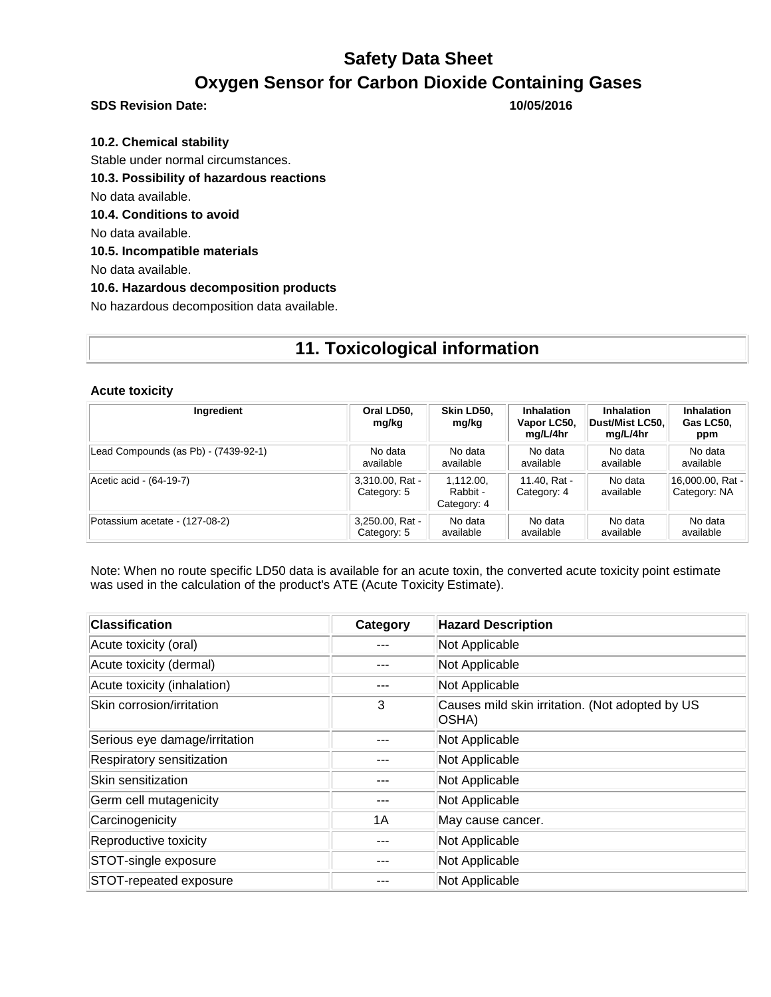**SDS Revision Date: 10/05/2016**

**10.2. Chemical stability** Stable under normal circumstances. **10.3. Possibility of hazardous reactions** No data available. **10.4. Conditions to avoid** No data available. **10.5. Incompatible materials**

No data available.

**10.6. Hazardous decomposition products**

No hazardous decomposition data available.

# **11. Toxicological information**

#### **Acute toxicity**

| Ingredient                           | Oral LD50,<br>mg/kg            | Skin LD50.<br>mg/kg                  | <b>Inhalation</b><br>Vapor LC50,<br>mg/L/4hr | <b>Inhalation</b><br> Dust/Mist LC50. <br>mg/L/4hr | <b>Inhalation</b><br>Gas LC50,<br>ppm |
|--------------------------------------|--------------------------------|--------------------------------------|----------------------------------------------|----------------------------------------------------|---------------------------------------|
| Lead Compounds (as Pb) - (7439-92-1) | No data                        | No data                              | No data                                      | No data                                            | No data                               |
|                                      | available                      | available                            | available                                    | available                                          | available                             |
| Acetic acid - (64-19-7)              | 3,310.00, Rat -<br>Category: 5 | 1.112.00.<br>Rabbit -<br>Category: 4 | 11.40. Rat -<br>Category: 4                  | No data<br>available                               | 16,000.00, Rat -<br>Category: NA      |
| Potassium acetate - (127-08-2)       | 3,250.00, Rat -                | No data                              | No data                                      | No data                                            | No data                               |
|                                      | Category: 5                    | available                            | available                                    | available                                          | available                             |

Note: When no route specific LD50 data is available for an acute toxin, the converted acute toxicity point estimate was used in the calculation of the product's ATE (Acute Toxicity Estimate).

| <b>Classification</b>         | Category | <b>Hazard Description</b>                                |
|-------------------------------|----------|----------------------------------------------------------|
| Acute toxicity (oral)         |          | Not Applicable                                           |
| Acute toxicity (dermal)       |          | Not Applicable                                           |
| Acute toxicity (inhalation)   |          | Not Applicable                                           |
| Skin corrosion/irritation     | 3        | Causes mild skin irritation. (Not adopted by US<br>OSHA) |
| Serious eye damage/irritation |          | Not Applicable                                           |
| Respiratory sensitization     |          | Not Applicable                                           |
| Skin sensitization            |          | Not Applicable                                           |
| Germ cell mutagenicity        |          | Not Applicable                                           |
| Carcinogenicity               | 1A       | May cause cancer.                                        |
| Reproductive toxicity         |          | Not Applicable                                           |
| STOT-single exposure          |          | Not Applicable                                           |
| STOT-repeated exposure        |          | Not Applicable                                           |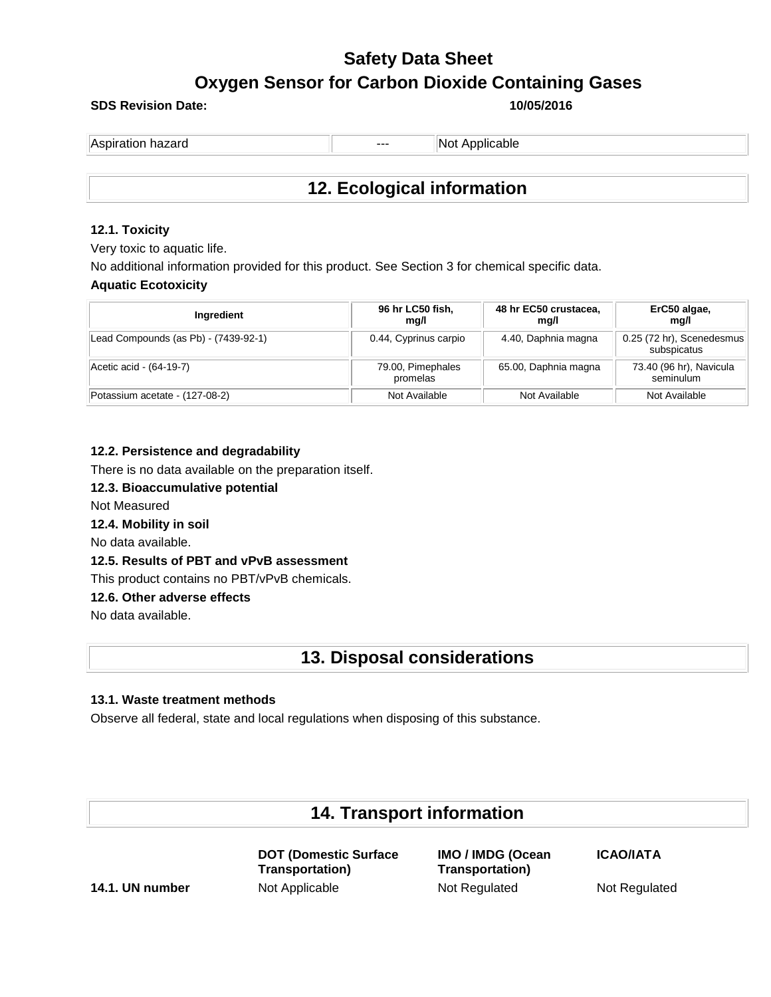### **SDS Revision Date: 10/05/2016**

| Aspiration hazard<br>--- | INot Applicable |
|--------------------------|-----------------|
|                          |                 |

### **12. Ecological information**

### **12.1. Toxicity**

Very toxic to aquatic life.

No additional information provided for this product. See Section 3 for chemical specific data.

### **Aquatic Ecotoxicity**

| Ingredient                           | 96 hr LC50 fish,<br>mg/l      | 48 hr EC50 crustacea,<br>mg/l | ErC50 algae,<br>mg/l                     |
|--------------------------------------|-------------------------------|-------------------------------|------------------------------------------|
| Lead Compounds (as Pb) - (7439-92-1) | 0.44, Cyprinus carpio         | 4.40, Daphnia magna           | 0.25 (72 hr), Scenedesmus<br>subspicatus |
| Acetic acid - (64-19-7)              | 79.00, Pimephales<br>promelas | 65.00, Daphnia magna          | 73.40 (96 hr), Navicula<br>seminulum     |
| Potassium acetate - (127-08-2)       | Not Available                 | Not Available                 | Not Available                            |

### **12.2. Persistence and degradability**

There is no data available on the preparation itself.

**12.3. Bioaccumulative potential**

Not Measured

**12.4. Mobility in soil**

No data available.

**12.5. Results of PBT and vPvB assessment**

This product contains no PBT/vPvB chemicals.

### **12.6. Other adverse effects**

No data available.

### **13. Disposal considerations**

### **13.1. Waste treatment methods**

Observe all federal, state and local regulations when disposing of this substance.

### **14. Transport information**

**DOT (Domestic Surface Transportation) 14.1. UN number** Not Applicable Not Regulated Not Regulated Not Regulated

**IMO / IMDG (Ocean Transportation)**

**ICAO/IATA**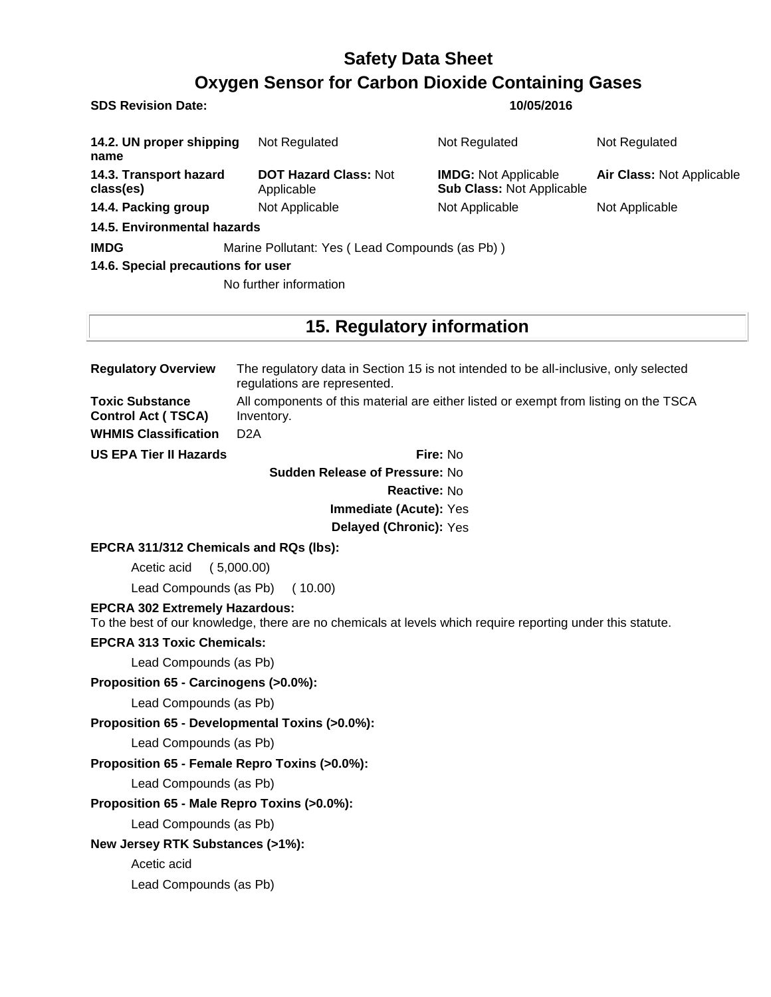**SDS Revision Date: 10/05/2016**

| 14.2. UN proper shipping<br>name    | Not Regulated                                  | Not Regulated                                                   | Not Regulated             |  |
|-------------------------------------|------------------------------------------------|-----------------------------------------------------------------|---------------------------|--|
| 14.3. Transport hazard<br>class(es) | <b>DOT Hazard Class: Not</b><br>Applicable     | <b>IMDG:</b> Not Applicable<br><b>Sub Class: Not Applicable</b> | Air Class: Not Applicable |  |
| 14.4. Packing group                 | Not Applicable                                 | Not Applicable                                                  | Not Applicable            |  |
| 14.5. Environmental hazards         |                                                |                                                                 |                           |  |
| <b>IMDG</b>                         | Marine Pollutant: Yes (Lead Compounds (as Pb)) |                                                                 |                           |  |
| 14.6. Special precautions for user  |                                                |                                                                 |                           |  |

No further information

### **15. Regulatory information**

| <b>Regulatory Overview</b>                          | The regulatory data in Section 15 is not intended to be all-inclusive, only selected<br>regulations are represented. |  |  |
|-----------------------------------------------------|----------------------------------------------------------------------------------------------------------------------|--|--|
| <b>Toxic Substance</b><br><b>Control Act (TSCA)</b> | All components of this material are either listed or exempt from listing on the TSCA<br>Inventory.                   |  |  |
| <b>WHMIS Classification</b>                         | D <sub>2</sub> A                                                                                                     |  |  |
| <b>US EPA Tier II Hazards</b>                       | <b>Fire: No</b>                                                                                                      |  |  |

**Sudden Release of Pressure:** No **Reactive:** No **Immediate (Acute):** Yes

**Delayed (Chronic):** Yes

### **EPCRA 311/312 Chemicals and RQs (lbs):**

Acetic acid ( 5,000.00)

Lead Compounds (as Pb) ( 10.00)

### **EPCRA 302 Extremely Hazardous:**

To the best of our knowledge, there are no chemicals at levels which require reporting under this statute.

### **EPCRA 313 Toxic Chemicals:**

Lead Compounds (as Pb)

**Proposition 65 - Carcinogens (>0.0%):**

Lead Compounds (as Pb)

### **Proposition 65 - Developmental Toxins (>0.0%):**

Lead Compounds (as Pb)

### **Proposition 65 - Female Repro Toxins (>0.0%):**

Lead Compounds (as Pb)

### **Proposition 65 - Male Repro Toxins (>0.0%):**

Lead Compounds (as Pb)

### **New Jersey RTK Substances (>1%):**

Acetic acid

Lead Compounds (as Pb)